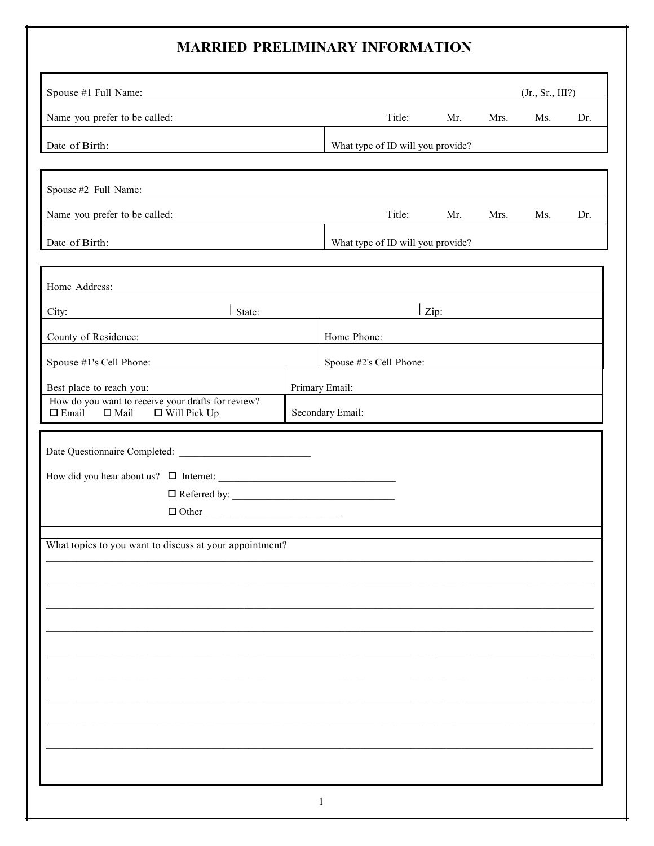## **MARRIED PRELIMINARY INFORMATION**

| Spouse #1 Full Name:                                                                                        |  |                                   |        |                    |      | (Jr., Sr., III?) |     |
|-------------------------------------------------------------------------------------------------------------|--|-----------------------------------|--------|--------------------|------|------------------|-----|
| Name you prefer to be called:                                                                               |  |                                   | Title: | Mr.                | Mrs. | Ms.              | Dr. |
| Date of Birth:                                                                                              |  | What type of ID will you provide? |        |                    |      |                  |     |
|                                                                                                             |  |                                   |        |                    |      |                  |     |
| Spouse #2 Full Name:                                                                                        |  |                                   |        |                    |      |                  |     |
| Name you prefer to be called:                                                                               |  |                                   | Title: | Mr.                | Mrs. | Ms.              | Dr. |
| Date of Birth:                                                                                              |  | What type of ID will you provide? |        |                    |      |                  |     |
|                                                                                                             |  |                                   |        |                    |      |                  |     |
| Home Address:                                                                                               |  |                                   |        |                    |      |                  |     |
| State:<br>City:                                                                                             |  |                                   |        | $ _{\text{Zip: }}$ |      |                  |     |
| County of Residence:                                                                                        |  | Home Phone:                       |        |                    |      |                  |     |
| Spouse #1's Cell Phone:                                                                                     |  | Spouse #2's Cell Phone:           |        |                    |      |                  |     |
| Best place to reach you:                                                                                    |  | Primary Email:                    |        |                    |      |                  |     |
| How do you want to receive your drafts for review?<br>$\Box$ Email<br>$\square$ Mail<br>$\Box$ Will Pick Up |  | Secondary Email:                  |        |                    |      |                  |     |
|                                                                                                             |  |                                   |        |                    |      |                  |     |
|                                                                                                             |  |                                   |        |                    |      |                  |     |
|                                                                                                             |  |                                   |        |                    |      |                  |     |
|                                                                                                             |  |                                   |        |                    |      |                  |     |
| $\Box$ Other                                                                                                |  |                                   |        |                    |      |                  |     |
| What topics to you want to discuss at your appointment?                                                     |  |                                   |        |                    |      |                  |     |
|                                                                                                             |  |                                   |        |                    |      |                  |     |
|                                                                                                             |  |                                   |        |                    |      |                  |     |
|                                                                                                             |  |                                   |        |                    |      |                  |     |
|                                                                                                             |  |                                   |        |                    |      |                  |     |
|                                                                                                             |  |                                   |        |                    |      |                  |     |
|                                                                                                             |  |                                   |        |                    |      |                  |     |
|                                                                                                             |  |                                   |        |                    |      |                  |     |
|                                                                                                             |  |                                   |        |                    |      |                  |     |
|                                                                                                             |  |                                   |        |                    |      |                  |     |
|                                                                                                             |  |                                   |        |                    |      |                  |     |
|                                                                                                             |  |                                   |        |                    |      |                  |     |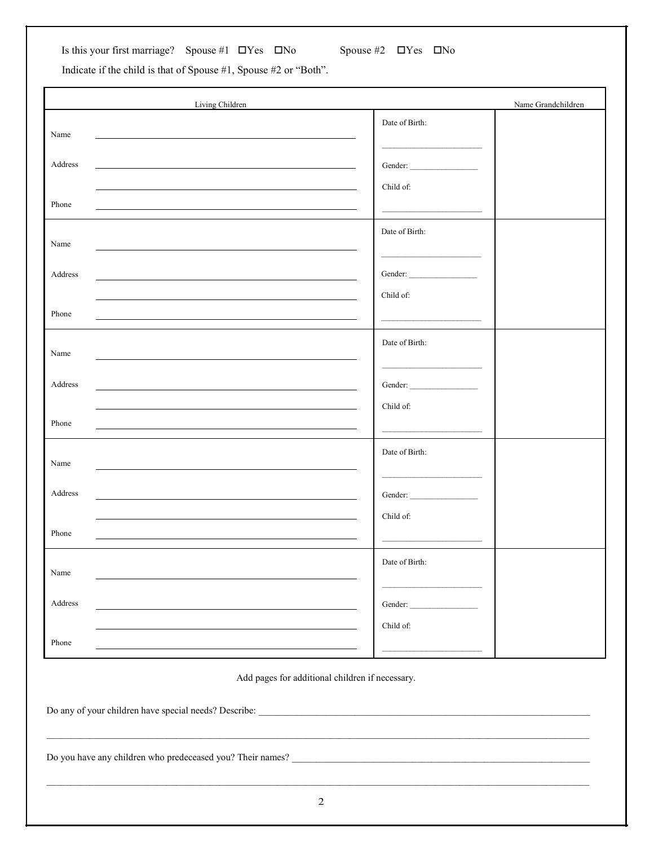Is this your first marriage? Spouse #1  $\Box$  Yes  $\Box$  No Spouse #2  $\Box$  Yes  $\Box$  No

Indicate if the child is that of Spouse #1, Spouse #2 or "Both".

| Living Children                                                                                                                                                                                                                          |                                                                | Name Grandchildren |
|------------------------------------------------------------------------------------------------------------------------------------------------------------------------------------------------------------------------------------------|----------------------------------------------------------------|--------------------|
| Name                                                                                                                                                                                                                                     | Date of Birth:<br>the control of the control of the control of |                    |
| Address                                                                                                                                                                                                                                  |                                                                |                    |
| Phone<br>the control of the control of the control of the control of the control of the control of the control of the control of the control of the control of the control of the control of the control of the control of the control   | Child of:                                                      |                    |
| Name                                                                                                                                                                                                                                     | Date of Birth:<br>the control of the control of the control of |                    |
| Address                                                                                                                                                                                                                                  |                                                                |                    |
| the control of the control of the control of the control of the control of the control of the control of the control of the control of the control of the control of the control of the control of the control of the control<br>Phone   | Child of:                                                      |                    |
| Name                                                                                                                                                                                                                                     | Date of Birth:                                                 |                    |
| Address<br>the control of the control of the control of the control of the control of the control of the control of the control of the control of the control of the control of the control of the control of the control of the control |                                                                |                    |
| Phone                                                                                                                                                                                                                                    | Child of:                                                      |                    |
| Name                                                                                                                                                                                                                                     | Date of Birth:                                                 |                    |
| Address                                                                                                                                                                                                                                  |                                                                |                    |
| Phone                                                                                                                                                                                                                                    | Child of:                                                      |                    |
| Name                                                                                                                                                                                                                                     | Date of Birth:                                                 |                    |
| Address                                                                                                                                                                                                                                  | Gender:                                                        |                    |
| Phone                                                                                                                                                                                                                                    | Child of:                                                      |                    |

Add pages for additional children if necessary.

\_\_\_\_\_\_\_\_\_\_\_\_\_\_\_\_\_\_\_\_\_\_\_\_\_\_\_\_\_\_\_\_\_\_\_\_\_\_\_\_\_\_\_\_\_\_\_\_\_\_\_\_\_\_\_\_\_\_\_\_\_\_\_\_\_\_\_\_\_\_\_\_\_\_\_\_\_\_\_\_\_\_\_\_\_\_\_\_\_\_\_\_\_\_\_\_\_\_\_\_\_\_\_\_\_\_\_\_\_\_\_\_\_

Do any of your children have special needs? Describe: \_\_\_\_\_\_\_\_\_\_\_\_\_\_\_\_\_\_\_\_\_\_\_\_\_\_\_\_\_\_\_\_\_\_\_\_\_\_\_\_\_\_\_\_\_\_\_\_\_\_\_\_\_\_\_\_\_\_\_\_\_\_\_\_\_\_\_\_\_

Do you have any children who predeceased you? Their names? \_\_\_\_\_\_\_\_\_\_\_\_\_\_\_\_\_\_\_\_\_\_\_\_\_\_\_\_\_\_\_\_\_\_\_\_\_\_\_\_\_\_\_\_\_\_\_\_\_\_\_\_\_\_\_\_\_\_\_\_\_\_

 $\mathcal{L}_\text{max} = \frac{1}{2} \sum_{i=1}^n \mathcal{L}_\text{max} = \frac{1}{2} \sum_{i=1}^n \mathcal{L}_\text{max} = \frac{1}{2} \sum_{i=1}^n \mathcal{L}_\text{max} = \frac{1}{2} \sum_{i=1}^n \mathcal{L}_\text{max} = \frac{1}{2} \sum_{i=1}^n \mathcal{L}_\text{max} = \frac{1}{2} \sum_{i=1}^n \mathcal{L}_\text{max} = \frac{1}{2} \sum_{i=1}^n \mathcal{L}_\text{max} = \frac{1}{2} \sum_{i=$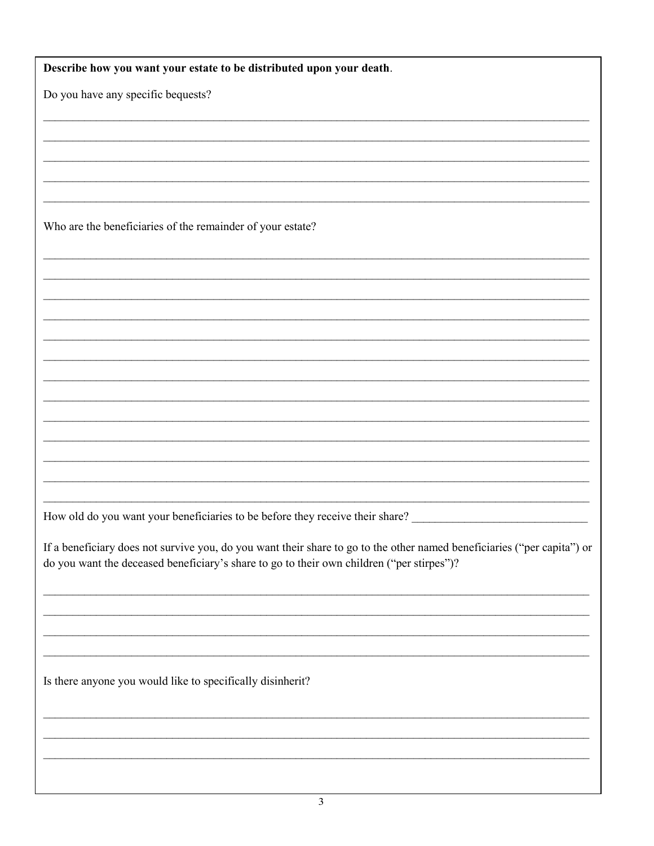| Describe how you want your estate to be distributed upon your death.                                                                                                                                                 |
|----------------------------------------------------------------------------------------------------------------------------------------------------------------------------------------------------------------------|
| Do you have any specific bequests?                                                                                                                                                                                   |
|                                                                                                                                                                                                                      |
|                                                                                                                                                                                                                      |
|                                                                                                                                                                                                                      |
|                                                                                                                                                                                                                      |
| Who are the beneficiaries of the remainder of your estate?                                                                                                                                                           |
|                                                                                                                                                                                                                      |
|                                                                                                                                                                                                                      |
|                                                                                                                                                                                                                      |
|                                                                                                                                                                                                                      |
|                                                                                                                                                                                                                      |
|                                                                                                                                                                                                                      |
|                                                                                                                                                                                                                      |
|                                                                                                                                                                                                                      |
|                                                                                                                                                                                                                      |
|                                                                                                                                                                                                                      |
|                                                                                                                                                                                                                      |
| How old do you want your beneficiaries to be before they receive their share?                                                                                                                                        |
| If a beneficiary does not survive you, do you want their share to go to the other named beneficiaries ("per capita") or<br>do you want the deceased beneficiary's share to go to their own children ("per stirpes")? |
|                                                                                                                                                                                                                      |
|                                                                                                                                                                                                                      |
|                                                                                                                                                                                                                      |
| Is there anyone you would like to specifically disinherit?                                                                                                                                                           |
|                                                                                                                                                                                                                      |
|                                                                                                                                                                                                                      |
|                                                                                                                                                                                                                      |
|                                                                                                                                                                                                                      |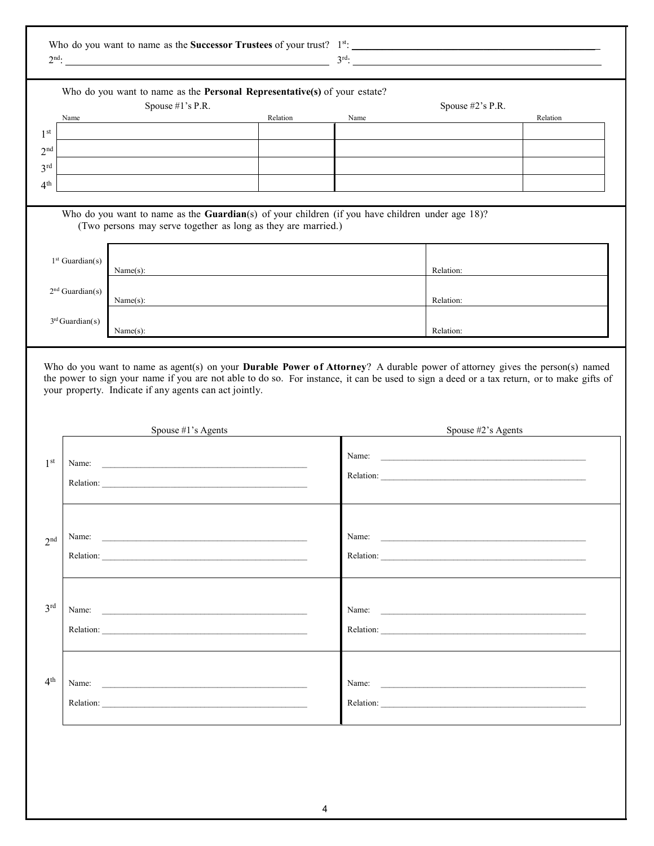| Who do you want to name as the <b>Successor Trustees</b> of your trust? | 1st  |
|-------------------------------------------------------------------------|------|
| $\gamma$ nc                                                             | 2rd. |

|                                                                          | Spouse #1's P.R.<br>Name                                                                                                                                                                                                      | Relation | Name                                                                                                                                       | Spouse #2's P.R.      | Relation |
|--------------------------------------------------------------------------|-------------------------------------------------------------------------------------------------------------------------------------------------------------------------------------------------------------------------------|----------|--------------------------------------------------------------------------------------------------------------------------------------------|-----------------------|----------|
| 1 <sup>st</sup>                                                          |                                                                                                                                                                                                                               |          |                                                                                                                                            |                       |          |
| 2 <sup>nd</sup>                                                          |                                                                                                                                                                                                                               |          |                                                                                                                                            |                       |          |
| 3 <sup>rd</sup>                                                          |                                                                                                                                                                                                                               |          |                                                                                                                                            |                       |          |
| 4 <sup>th</sup>                                                          |                                                                                                                                                                                                                               |          |                                                                                                                                            |                       |          |
|                                                                          |                                                                                                                                                                                                                               |          |                                                                                                                                            |                       |          |
|                                                                          | Who do you want to name as the Guardian(s) of your children (if you have children under age 18)?<br>(Two persons may serve together as long as they are married.)                                                             |          |                                                                                                                                            |                       |          |
|                                                                          | $1st$ Guardian(s)<br>Name(s):                                                                                                                                                                                                 |          |                                                                                                                                            | Relation:             |          |
|                                                                          |                                                                                                                                                                                                                               |          |                                                                                                                                            |                       |          |
|                                                                          | $2nd$ Guardian(s)<br>Name(s):                                                                                                                                                                                                 |          |                                                                                                                                            | Relation:             |          |
|                                                                          | $3rd$ Guardian(s)                                                                                                                                                                                                             |          |                                                                                                                                            |                       |          |
|                                                                          | Name(s):                                                                                                                                                                                                                      |          |                                                                                                                                            | Relation:             |          |
|                                                                          | your property. Indicate if any agents can act jointly.                                                                                                                                                                        |          | the power to sign your name if you are not able to do so. For instance, it can be used to sign a deed or a tax return, or to make gifts of |                       |          |
|                                                                          |                                                                                                                                                                                                                               |          |                                                                                                                                            |                       |          |
|                                                                          | Spouse $#1$ 's Agents                                                                                                                                                                                                         |          |                                                                                                                                            | Spouse $#2$ 's Agents |          |
|                                                                          | Name:                                                                                                                                                                                                                         |          |                                                                                                                                            |                       |          |
|                                                                          |                                                                                                                                                                                                                               |          |                                                                                                                                            |                       |          |
|                                                                          |                                                                                                                                                                                                                               |          |                                                                                                                                            |                       |          |
|                                                                          |                                                                                                                                                                                                                               |          |                                                                                                                                            |                       |          |
|                                                                          | Name:<br>the control of the control of the control of the control of the control of                                                                                                                                           |          | Name:                                                                                                                                      |                       |          |
|                                                                          |                                                                                                                                                                                                                               |          |                                                                                                                                            |                       |          |
|                                                                          |                                                                                                                                                                                                                               |          |                                                                                                                                            |                       |          |
|                                                                          | Name:                                                                                                                                                                                                                         |          |                                                                                                                                            | Name:                 |          |
|                                                                          | Relation: 2008 and 2008 and 2008 and 2008 and 2008 and 2008 and 2008 and 2008 and 2008 and 2008 and 2008 and 2008 and 2008 and 2008 and 2008 and 2008 and 2008 and 2008 and 2008 and 2008 and 2008 and 2008 and 2008 and 2008 |          |                                                                                                                                            |                       |          |
|                                                                          |                                                                                                                                                                                                                               |          |                                                                                                                                            |                       |          |
| 1 <sup>st</sup><br>2 <sub>nd</sub><br>3 <sup>rd</sup><br>4 <sup>th</sup> |                                                                                                                                                                                                                               |          |                                                                                                                                            | Name:                 |          |
|                                                                          | Relation: 2008 and 2008 and 2008 and 2008 and 2008 and 2008 and 2008 and 2008 and 2008 and 2008 and 2008 and 2008 and 2008 and 2008 and 2008 and 2008 and 2008 and 2008 and 2008 and 2008 and 2008 and 2008 and 2008 and 2008 |          |                                                                                                                                            |                       |          |